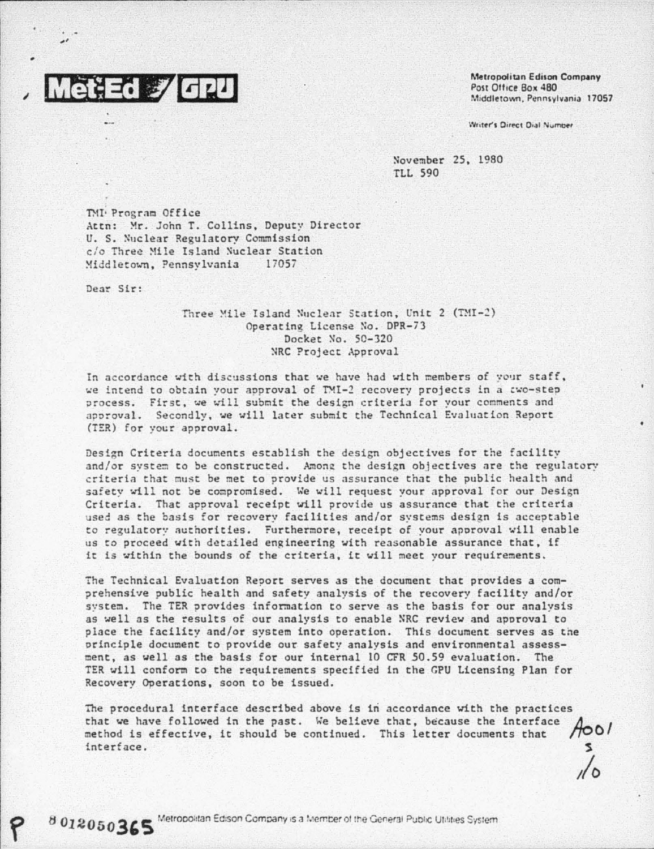

Metropolitan Edison Company Post Office Box 480 Middletown, Pennsylvania 17057

Writer's Direct Dial Number

November 25, 1980 **TLL 590** 

TMI Program Office Attn: Mr. John T. Collins, Deputy Director U. S. Nuclear Regulatory Commission c/o Three Mile Island Nuclear Station Middletown, Pennsylvania 17057

Dear Sir:

8012050365

## Three Mile Island Nuclear Station, Unit 2 (TMI-2) Operating License No. DPR-73 Docket No. 50-320 NRC Project Approval

In accordance with discussions that we have had with members of your staff, we intend to obtain your approval of TMI-2 recovery projects in a two-step process. First, we will submit the design criteria for your comments and approval. Secondly, we will later submit the Technical Evaluation Report (TER) for your approval.

Design Criteria documents establish the design objectives for the facility and/or system to be constructed. Among the design objectives are the regulatory criteria that must be met to provide us assurance that the public health and safety will not be compromised. We will request your approval for our Design Criteria. That approval receipt will provide us assurance that the criteria used as the basis for recovery facilities and/or systems design is acceptable to regulatory authorities. Furthermore, receipt of your approval will enable us to proceed with detailed engineering with reasonable assurance that, if it is within the bounds of the criteria, it will meet your requirements.

The Technical Evaluation Report serves as the document that provides a comprehensive public health and safety analysis of the recovery facility and/or system. The TER provides information to serve as the basis for our analysis as well as the results of our analysis to enable NRC review and approval to place the facility and/or system into operation. This document serves as the principle document to provide our safety analysis and environmental assessment, as well as the basis for our internal 10 CFR 50.59 evaluation. The TER will conform to the requirements specified in the GPU Licensing Plan for Recovery Operations, soon to be issued.

The procedural interface described above is in accordance with the practices that we have followed in the past. We believe that, because the interface 4001 method is effective, it should be continued. This letter documents that interface.